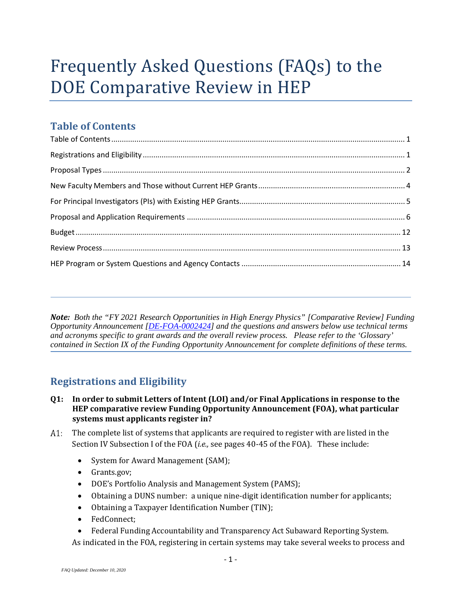# Frequently Asked Questions (FAQs) to the DOE Comparative Review in HEP

# <span id="page-0-0"></span>**Table of Contents**

*Note: Both the "FY 2021 Research Opportunities in High Energy Physics" [Comparative Review] Funding Opportunity Announcement [\[DE-FOA-0002424\]](https://science.osti.gov/hep/Funding-Opportunities) and the questions and answers below use technical terms and acronyms specific to grant awards and the overall review process. Please refer to the 'Glossary' contained in Section IX of the Funding Opportunity Announcement for complete definitions of these terms.*

# **Registrations and Eligibility**

<span id="page-0-1"></span>í

- **Q1: In order to submit Letters of Intent (LOI) and/or Final Applications in response to the HEP comparative review Funding Opportunity Announcement (FOA), what particular systems must applicants register in?**
- The complete list of systems that applicants are required to register with are listed in the A1: Section IV Subsection I of the FOA (*i.e.,* see pages 40-45 of the FOA). These include:
	- System for Award Management (SAM);
	- Grants.gov;
	- DOE's Portfolio Analysis and Management System (PAMS);
	- Obtaining a DUNS number: a unique nine-digit identification number for applicants;
	- Obtaining a Taxpayer Identification Number (TIN);
	- FedConnect;
	- Federal Funding Accountability and Transparency Act Subaward Reporting System. As indicated in the FOA, registering in certain systems may take several weeks to process and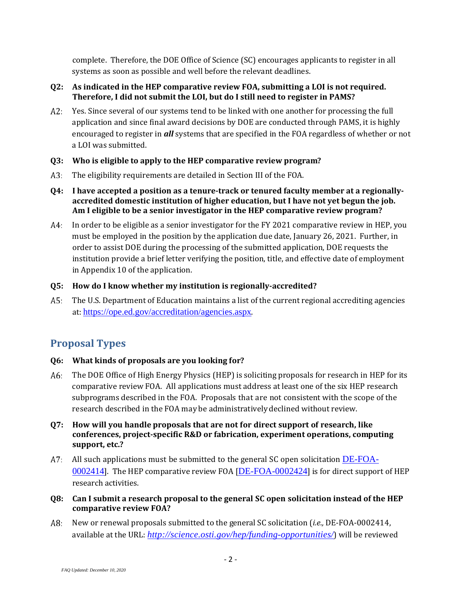complete. Therefore, the DOE Office of Science (SC) encourages applicants to register in all systems as soon as possible and well before the relevant deadlines.

#### **Q2: As indicated in the HEP comparative review FOA, submitting a LOI is not required. Therefore, I did not submit the LOI, but do I still need to register in PAMS?**

A2: Yes. Since several of our systems tend to be linked with one another for processing the full application and since final award decisions by DOE are conducted through PAMS, it is highly encouraged to register in *all* systems that are specified in the FOA regardless of whether or not a LOI was submitted.

# **Q3: Who is eligible to apply to the HEP comparative review program?**

A3: The eligibility requirements are detailed in Section III of the FOA.

#### <span id="page-1-1"></span>**Q4: I have accepted a position as a tenure-track or tenured faculty member at a regionallyaccredited domestic institution of higher education, but I have not yet begun the job. Am I eligible to be a senior investigator in the HEP comparative review program?**

In order to be eligible as a senior investigator for the FY 2021 comparative review in HEP, you A4: must be employed in the position by the application due date, January 26, 2021. Further, in order to assist DOE during the processing of the submitted application, DOE requests the institution provide a brief letter verifying the position, title, and effective date of employment in Appendix 10 of the application.

#### **Q5: How do I know whether my institution is regionally-accredited?**

A5: The U.S. Department of Education maintains a list of the current regional accrediting agencies at: <https://ope.ed.gov/accreditation/agencies.aspx>.

# <span id="page-1-0"></span>**Proposal Types**

# **Q6: What kinds of proposals are you looking for?**

A6: The DOE Office of High Energy Physics (HEP) is soliciting proposals for research in HEP for its comparative review FOA. All applications must address at least one of the six HEP research subprograms described in the FOA. Proposals that are not consistent with the scope of the research described in the FOA maybe administrativelydeclined without review.

#### **Q7: How will you handle proposals that are not for direct support of research, like conferences, project-specific R&D or fabrication, experiment operations, computing support, etc.?**

- A7: All such applications must be submitted to the general SC open solicitation  $DE\text{-FOA-}$ [0002414](https://science.osti.gov/-/media/grants/pdf/foas/2020/SC_FOA_0002181.pdf)]. The HEP comparative review FOA [[DE-FOA-0002424](https://science.osti.gov/hep/Funding-Opportunities/)] is for direct support of HEP research activities.
- **Q8: Can I submit a research proposal to the general SC open solicitation instead of the HEP comparative review FOA?**
- New or renewal proposals submitted to the general SC solicitation (*i.e.,* DE-FOA-0002414, A8: available at the URL: *<http://science.osti.gov/hep/funding-opportunities/>*) will be reviewed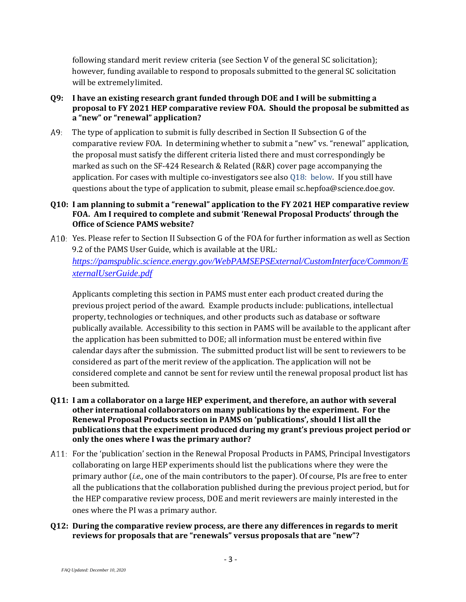following standard merit review criteria (see Section V of the general SC solicitation); however, funding available to respond to proposals submitted to the general SC solicitation will be extremelylimited.

- <span id="page-2-0"></span>**Q9: I have an existing research grant funded through DOE and I will be submitting a proposal to FY 2021 HEP comparative review FOA. Should the proposal be submitted as a "new" or "renewal" application?**
- The type of application to submit is fully described in Section II Subsection G of the comparative review FOA. In determining whether to submit a "new" vs. "renewal" application, the proposal must satisfy the different criteria listed there and must correspondingly be marked as such on the SF-424 Research & Related (R&R) cover page accompanying the application. For cases with multiple co-investigators see also [Q18: below.](#page-4-1) If you still have questions about the type of application to submit, please email [sc.hepfoa@science.doe.gov.](mailto:sc.hepfoa@science.doe.gov)

#### **Q10: I am planning to submit a "renewal" application to the FY 2021 HEP comparative review FOA. Am I required to complete and submit 'Renewal Proposal Products' through the Office of Science PAMS website?**

A10: Yes. Please refer to Section II Subsection G of the FOA for further information as well as Section 9.2 of the PAMS User Guide, which is available at the URL: *[https://pamspublic.science.energy.gov/WebPAMSEPSExternal/CustomInterface/Common/E](https://pamspublic.science.energy.gov/WebPAMSEPSExternal/CustomInterface/Common/ExternalUserGuide.pdf) [xternalUserGuide.pdf](https://pamspublic.science.energy.gov/WebPAMSEPSExternal/CustomInterface/Common/ExternalUserGuide.pdf)*

Applicants completing this section in PAMS must enter each product created during the previous project period of the award. Example products include: publications, intellectual property, technologies or techniques, and other products such as database or software publically available. Accessibility to this section in PAMS will be available to the applicant after the application has been submitted to DOE; all information must be entered within five calendar days after the submission. The submitted product list will be sent to reviewers to be considered as part of the merit review of the application. The application will not be considered complete and cannot be sent for review until the renewal proposal product list has been submitted.

- **Q11: I am a collaborator on a large HEP experiment, and therefore, an author with several other international collaborators on many publications by the experiment. For the Renewal Proposal Products section in PAMS on 'publications', should I list all the publications that the experiment produced during my grant's previous project period or only the ones where I was the primary author?**
- A11: For the 'publication' section in the Renewal Proposal Products in PAMS, Principal Investigators collaborating on large HEP experiments should list the publications where they were the primary author (*i.e.,* one of the main contributors to the paper). Of course, PIs are free to enter all the publications that the collaboration published during the previous project period, but for the HEP comparative review process, DOE and merit reviewers are mainly interested in the ones where the PI was a primary author.
- **Q12: During the comparative review process, are there any differences in regards to merit reviews for proposals that are "renewals" versus proposals that are "new"?**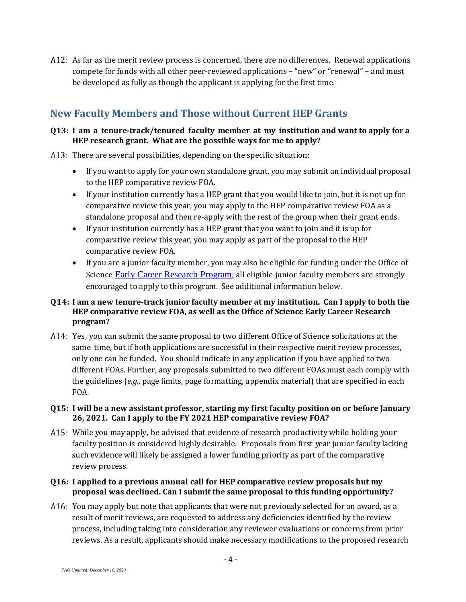A12: As far as the merit review process is concerned, there are no differences. Renewal applications compete for funds with all other peer-reviewed applications – "new" or "renewal" – and must be developed as fully as though the applicant is applying for the first time.

# <span id="page-3-0"></span>**New Faculty Members and Those without Current HEP Grants**

#### **Q13: I am a tenure-track/tenured faculty member at my institution and want to apply for a HEP research grant. What are the possible ways for me to apply?**

- A13: There are several possibilities, depending on the specific situation:
	- If you want to apply for your own standalone grant, you may submit an individual proposal to the HEP comparative review FOA.
	- If your institution currently has a HEP grant that you would like to join, but it is not up for comparative review this year, you may apply to the HEP comparative review FOA as a standalone proposal and then re-apply with the rest of the group when their grant ends.
	- If your institution currently has a HEP grant that you want to join and it is up for comparative review this year, you may apply as part of the proposal to the HEP comparative review FOA.
	- If you are a junior faculty member, you may also be eligible for funding under the [Office](http://science.osti.gov/hep/funding-opportunities/) of [Science](http://science.osti.gov/hep/funding-opportunities/) [Early Career](http://science.osti.gov/early-career/) Research Program; all eligible junior faculty members are strongly encouraged to apply to this program. See additional information below.

#### **Q14: I am a new tenure-track junior faculty member at my institution. Can I apply to both the HEP comparative review FOA, as well as the Office of Science Early Career Research program?**

- Yes, you can submit the same proposal to two different Office of Science solicitations at the same time, but if both applications are successful in their respective merit review processes, only one can be funded. You should indicate in any application if you have applied to two different FOAs. Further, any proposals submitted to two different FOAs must each comply with the guidelines (*e.g.,* page limits, page formatting, appendix material) that are specified in each FOA.
- **Q15: I will be a new assistant professor, starting my first faculty position on or before January 26, 2021. Can I apply to the FY 2021 HEP comparative review FOA?**
- A15: While you may apply, be advised that evidence of research productivity while holding your faculty position is considered highly desirable. Proposals from first year junior faculty lacking such evidence will likely be assigned a lower funding priority as part of the comparative review process.

#### **Q16: I applied to a previous annual call for HEP comparative review proposals but my proposal was declined. Can I submit the same proposal to this funding opportunity?**

A16: You may apply but note that applicants that were not previously selected for an award, as a result of merit reviews, are requested to address any deficiencies identified by the review process, including taking into consideration any reviewer evaluations or concerns from prior reviews. As a result, applicants should make necessary modifications to the proposed research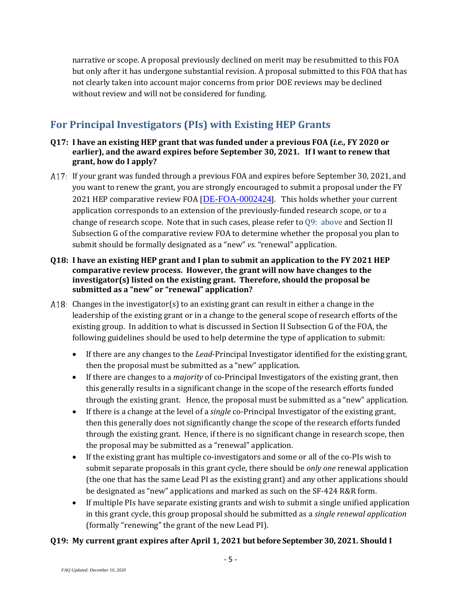narrative or scope. A proposal previously declined on merit may be resubmitted to this FOA but only after it has undergone substantial revision. A proposal submitted to this FOA that has not clearly taken into account major concerns from prior DOE reviews may be declined without review and will not be considered for funding.

# <span id="page-4-0"></span>**For Principal Investigators (PIs) with Existing HEP Grants**

- **Q17: I have an existing HEP grant that was funded under a previous FOA (***i.e.,* **FY 2020 or earlier), and the award expires before September 30, 2021. If I want to renew that grant, how do I apply?**
- If your grant was funded through a previous FOA and expires before September 30, 2021, and you want to renew the grant, you are strongly encouraged to submit a proposal under the FY 2021 HEP comparative review FOA [[DE-FOA-0002424](https://science.osti.gov/hep/Funding-Opportunities/)]. This holds whether your current application corresponds to an extension of the previously-funded research scope, or to a change of research scope. Note that in such cases, please refer to [Q9: above](#page-2-0) and Section II Subsection G of the comparative review FOA to determine whether the proposal you plan to submit should be formally designated as a "new" *vs.* "renewal" application.
- <span id="page-4-1"></span>**Q18: I have an existing HEP grant and I plan to submit an application to the FY 2021 HEP comparative review process. However, the grant will now have changes to the investigator(s) listed on the existing grant. Therefore, should the proposal be submitted as a "new" or "renewal" application?**
- A18: Changes in the investigator(s) to an existing grant can result in either a change in the leadership of the existing grant or in a change to the general scope of research efforts of the existing group. In addition to what is discussed in Section II Subsection G of the FOA, the following guidelines should be used to help determine the type of application to submit:
	- If there are any changes to the *Lead*-Principal Investigator identified for the existing grant, then the proposal must be submitted as a "new" application.
	- If there are changes to a *majority* of co-Principal Investigators of the existing grant, then this generally results in a significant change in the scope of the research efforts funded through the existing grant. Hence, the proposal must be submitted as a "new" application.
	- If there is a change at the level of a *single* co-Principal Investigator of the existing grant, then this generally does not significantly change the scope of the research efforts funded through the existing grant. Hence, if there is no significant change in research scope, then the proposal may be submitted as a "renewal" application.
	- If the existing grant has multiple co-investigators and some or all of the co-PIs wish to submit separate proposals in this grant cycle, there should be *only one* renewal application (the one that has the same Lead PI as the existing grant) and any other applications should be designated as "new" applications and marked as such on the SF-424 R&R form.
	- If multiple PIs have separate existing grants and wish to submit a single unified application in this grant cycle, this group proposal should be submitted as a *single renewal application* (formally "renewing" the grant of the new Lead PI).

# **Q19: My current grant expires after April 1, 2021 but before September 30, 2021. Should I**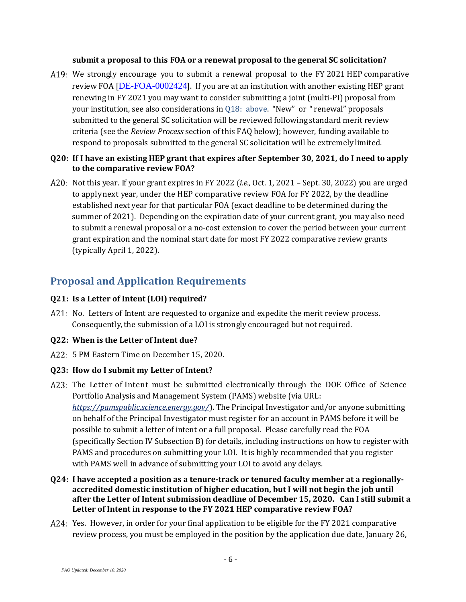#### **submit a proposal to this FOA or a renewal proposal to the general SC solicitation?**

A19: We strongly encourage you to submit a renewal proposal to the FY 2021 HEP comparative review FOA [[DE-FOA-0002424](https://science.osti.gov/hep/Funding-Opportunities/)]. If you are at an institution with another existing HEP grant renewing in FY 2021 you may want to consider submitting a joint (multi-PI) proposal from your institution, see also considerations in [Q18: above.](#page-4-1) "New" or " renewal" proposals submitted to the general SC solicitation will be reviewed following standard merit review criteria (see the *Review Process* section of this FAQ below); however, funding available to respond to proposals submitted to the general SC solicitation will be extremelylimited.

#### **Q20: If I have an existing HEP grant that expires after September 30, 2021, do I need to apply to the comparative review FOA?**

Not this year. If your grant expires in FY 2022 (*i.e.,* Oct. 1, 2021 – Sept. 30, 2022) you are urged to applynext year, under the HEP comparative review FOA for FY 2022, by the deadline established next year for that particular FOA (exact deadline to be determined during the summer of 2021). Depending on the expiration date of your current grant, you may also need to submit a renewal proposal or a no-cost extension to cover the period between your current grant expiration and the nominal start date for most FY 2022 comparative review grants (typically April 1, 2022).

# <span id="page-5-0"></span>**Proposal and Application Requirements**

# **Q21: Is a Letter of Intent (LOI) required?**

A21: No. Letters of Intent are requested to organize and expedite the merit review process. Consequently, the submission of a LOIis strongly encouraged but not required.

# **Q22: When is the Letter of Intent due?**

5 PM Eastern Time on December 15, 2020.

# **Q23: How do I submit my Letter of Intent?**

- A23: The Letter of Intent must be submitted electronically through the DOE Office of Science Portfolio Analysis and Management System (PAMS) website (via URL: *<https://pamspublic.science.energy.gov/>*). The Principal Investigator and/or anyone submitting on behalf of the Principal Investigator must register for an account in PAMS before it will be possible to submit a letter of intent or a full proposal. Please carefully read the FOA (specifically Section IV Subsection B) for details, including instructions on how to register with PAMS and procedures on submitting your LOI. It is highly recommended that you register with PAMS well in advance of submitting your LOI to avoid any delays.
- **Q24: I have accepted a position as a tenure-track or tenured faculty member at a regionallyaccredited domestic institution of higher education, but I will not begin the job until after the Letter of Intent submission deadline of December 15, 2020. Can I still submit a Letter of Intent in response to the FY 2021 HEP comparative review FOA?**
- A24: Yes. However, in order for your final application to be eligible for the FY 2021 comparative review process, you must be employed in the position by the application due date, January 26,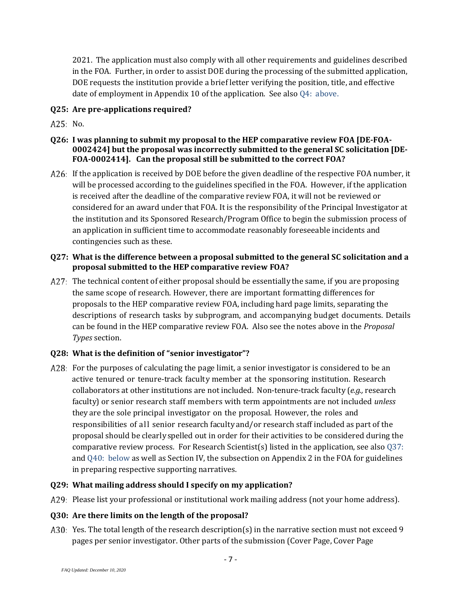2021. The application must also comply with all other requirements and guidelines described in the FOA. Further, in order to assist DOE during the processing of the submitted application, DOE requests the institution provide a brief letter verifying the position, title, and effective date of employment in Appendix 10 of the application. See also [Q4: above.](#page-1-1)

#### **Q25: Are pre-applications required?**

A25: No.

#### **Q26: I was planning to submit my proposal to the HEP comparative review FOA [DE-FOA-0002424] but the proposal was incorrectly submitted to the general SC solicitation [DE-FOA-0002414]. Can the proposal still be submitted to the correct FOA?**

A26: If the application is received by DOE before the given deadline of the respective FOA number, it will be processed according to the guidelines specified in the FOA. However, if the application is received after the deadline of the comparative review FOA, it will not be reviewed or considered for an award under that FOA. It is the responsibility of the Principal Investigator at the institution and its Sponsored Research/Program Office to begin the submission process of an application in sufficient time to accommodate reasonably foreseeable incidents and contingencies such as these.

#### **Q27: What is the difference between a proposal submitted to the general SC solicitation and a proposal submitted to the HEP comparative review FOA?**

A27: The technical content of either proposal should be essentially the same, if you are proposing the same scope of research. However, there are important formatting differences for proposals to the HEP comparative review FOA, including hard page limits, separating the descriptions of research tasks by subprogram, and accompanying budget documents. Details can be found in the HEP comparative review FOA. Also see the notes above in the *Proposal Types* section.

# **Q28: What is the definition of "senior investigator"?**

A28: For the purposes of calculating the page limit, a senior investigator is considered to be an active tenured or tenure-track faculty member at the sponsoring institution. Research collaborators at other institutions are not included. Non-tenure-track faculty (*e.g.,* research faculty) or senior research staff members with term appointments are not included *unless* they are the sole principal investigator on the proposal. However, the roles and responsibilities of all senior research facultyand/or research staff included as part of the proposal should be clearlyspelled out in order for their activities to be considered during the comparative review process. For Research Scientist(s) listed in the application, see als[o Q37:](#page-8-0)  and [Q40: below](#page-9-0) as well as Section IV, the subsection on Appendix 2 in the FOA for guidelines in preparing respective supporting narratives.

# **Q29: What mailing address should I specify on my application?**

A29: Please list your professional or institutional work mailing address (not your home address).

# **Q30: Are there limits on the length of the proposal?**

A30: Yes. The total length of the research description(s) in the narrative section must not exceed 9 pages per senior investigator. Other parts of the submission (Cover Page, Cover Page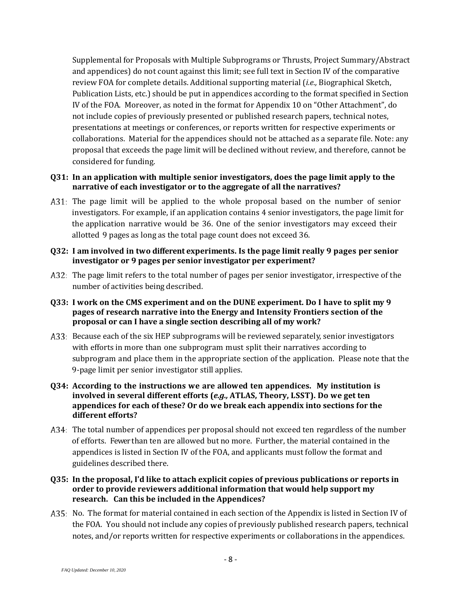Supplemental for Proposals with Multiple Subprograms or Thrusts, Project Summary/Abstract and appendices) do not count against this limit; see full text in Section IV of the comparative review FOA for complete details. Additional supporting material (*i.e.,* Biographical Sketch, Publication Lists, etc.) should be put in appendices according to the format specified in Section IV of the FOA. Moreover, as noted in the format for Appendix 10 on "Other Attachment", do not include copies of previously presented or published research papers, technical notes, presentations at meetings or conferences, or reports written for respective experiments or collaborations. Material for the appendices should not be attached as a separate file. Note: any proposal that exceeds the page limit will be declined without review, and therefore, cannot be considered for funding.

#### **Q31: In an application with multiple senior investigators, does the page limit apply to the narrative of each investigator or to the aggregate of all the narratives?**

- A31: The page limit will be applied to the whole proposal based on the number of senior investigators. For example, if an application contains 4 senior investigators, the page limit for the application narrative would be 36. One of the senior investigators may exceed their allotted 9 pages as long as the total page count does not exceed 36.
- **Q32: I am involved in two different experiments. Is the page limit really 9 pages per senior investigator or 9 pages per senior investigator per experiment?**
- A32: The page limit refers to the total number of pages per senior investigator, irrespective of the number of activities being described.
- **Q33: I work on the CMS experiment and on the DUNE experiment. Do I have to split my 9 pages of research narrative into the Energy and Intensity Frontiers section of the proposal or can I have a single section describing all of my work?**
- A33: Because each of the six HEP subprograms will be reviewed separately, senior investigators with efforts in more than one subprogram must split their narratives according to subprogram and place them in the appropriate section of the application. Please note that the 9-page limit per senior investigator still applies.
- **Q34: According to the instructions we are allowed ten appendices. My institution is involved in several different efforts (***e.g.,* **ATLAS, Theory, LSST). Do we get ten appendices for each of these? Or do we break each appendix into sections for the different efforts?**
- A34: The total number of appendices per proposal should not exceed ten regardless of the number of efforts. Fewer than ten are allowed but no more. Further, the material contained in the appendices is listed in Section IV of the FOA, and applicants must follow the format and guidelines described there.
- **Q35: In the proposal, I'd like to attach explicit copies of previous publications or reports in order to provide reviewers additional information that would help support my research. Can this be included in the Appendices?**
- A35: No. The format for material contained in each section of the Appendix is listed in Section IV of the FOA. You should not include any copies of previously published research papers, technical notes, and/or reports written for respective experiments or collaborations in the appendices.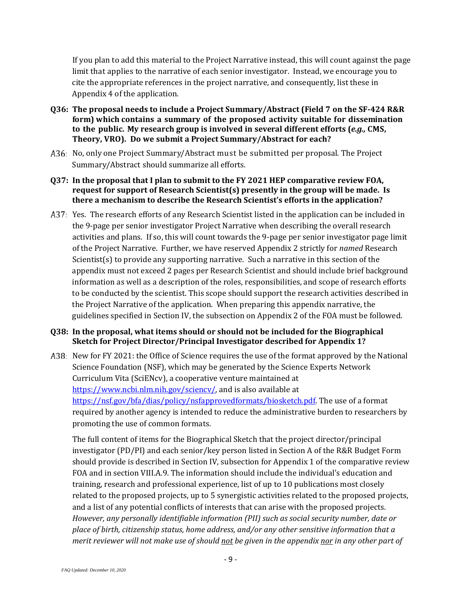If you plan to add this material to the Project Narrative instead, this will count against the page limit that applies to the narrative of each senior investigator. Instead, we encourage you to cite the appropriate references in the project narrative, and consequently, list these in Appendix 4 of the application.

- **Q36: The proposal needs to include a Project Summary/Abstract (Field 7 on the SF-424 R&R form) which contains a summary of the proposed activity suitable for dissemination to the public. My research group is involved in several different efforts (***e.g.,* **CMS, Theory, VRO). Do we submit a Project Summary/Abstract for each?**
- A36: No, only one Project Summary/Abstract must be submitted per proposal. The Project Summary/Abstract should summarize all efforts.
- <span id="page-8-0"></span>**Q37: In the proposal that I plan to submit to the FY 2021 HEP comparative review FOA, request for support of Research Scientist(s) presently in the group will be made. Is there a mechanism to describe the Research Scientist's efforts in the application?**
- A37: Yes. The research efforts of any Research Scientist listed in the application can be included in the 9-page per senior investigator Project Narrative when describing the overall research activities and plans. If so, this will count towards the 9-page per senior investigator page limit of the Project Narrative. Further, we have reserved Appendix 2 strictly for *named* Research Scientist(s) to provide any supporting narrative. Such a narrative in this section of the appendix must not exceed 2 pages per Research Scientist and should include brief background information as well as a description of the roles, responsibilities, and scope of research efforts to be conducted by the scientist. This scope should support the research activities described in the Project Narrative of the application. When preparing this appendix narrative, the guidelines specified in Section IV, the subsection on Appendix 2 of the FOA must be followed.

#### **Q38: In the proposal, what items should or should not be included for the Biographical Sketch for Project Director/Principal Investigator described for Appendix 1?**

A38: New for FY 2021: the Office of Science requires the use of the format approved by the National Science Foundation (NSF), which may be generated by the Science Experts Network Curriculum Vita (SciENcv), a cooperative venture maintained at [https://www.ncbi.nlm.nih.gov/sciencv/,](https://www.ncbi.nlm.nih.gov/sciencv/) and is also available at [https://nsf.gov/bfa/dias/policy/nsfapprovedformats/biosketch.pdf.](https://nsf.gov/bfa/dias/policy/nsfapprovedformats/biosketch.pdf) The use of a format required by another agency is intended to reduce the administrative burden to researchers by promoting the use of common formats.

The full content of items for the Biographical Sketch that the project director/principal investigator (PD/PI) and each senior/key person listed in Section A of the R&R Budget Form should provide is described in Section IV, subsection for Appendix 1 of the comparative review FOA and in section VIII.A.9. The information should include the individual's education and training, research and professional experience, list of up to 10 publications most closely related to the proposed projects, up to 5 synergistic activities related to the proposed projects, and a list of any potential conflicts of interests that can arise with the proposed projects. *However, any personally identifiable information (PII) such as social security number, date or place of birth, citizenship status, home address, and/or any other sensitive information that a merit reviewer will not make use of should not be given in the appendix nor in any other part of*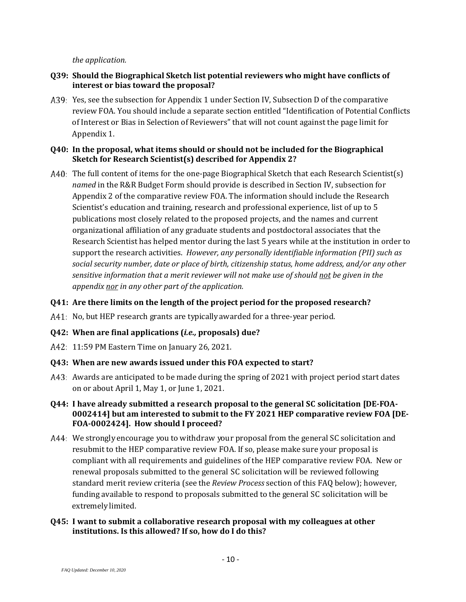*the application.*

#### **Q39: Should the Biographical Sketch list potential reviewers who might have conflicts of interest or bias toward the proposal?**

A39: Yes, see the subsection for Appendix 1 under Section IV, Subsection D of the comparative review FOA. You should include a separate section entitled "Identification of Potential Conflicts of Interest or Bias in Selection of Reviewers" that will not count against the page limit for Appendix 1.

#### <span id="page-9-0"></span>**Q40: In the proposal, what items should or should not be included for the Biographical Sketch for Research Scientist(s) described for Appendix 2?**

 $A40:$  The full content of items for the one-page Biographical Sketch that each Research Scientist(s) *named* in the R&R Budget Form should provide is described in Section IV, subsection for Appendix 2 of the comparative review FOA. The information should include the Research Scientist's education and training, research and professional experience, list of up to 5 publications most closely related to the proposed projects, and the names and current organizational affiliation of any graduate students and postdoctoral associates that the Research Scientist has helped mentor during the last 5 years while at the institution in order to support the research activities. *However, any personally identifiable information (PII) such as social security number, date or place of birth, citizenship status, home address, and/or any other sensitive information that a merit reviewer will not make use of should not be given in the appendix nor in any other part of the application.*

#### **Q41: Are there limits on the length of the project period for the proposed research?**

A41: No, but HEP research grants are typically awarded for a three-year period.

#### **Q42: When are final applications (***i.e.,* **proposals) due?**

- 11:59 PM Eastern Time on January 26, 2021.
- **Q43: When are new awards issued under this FOA expected to start?**
- $A43$ : Awards are anticipated to be made during the spring of 2021 with project period start dates on or about April 1, May 1, or June 1, 2021.
- **Q44: I have already submitted a research proposal to the general SC solicitation [DE-FOA-0002414] but am interested to submit to the FY 2021 HEP comparative review FOA [DE-FOA-0002424]. How should I proceed?**
- A44: We strongly encourage you to withdraw your proposal from the general SC solicitation and resubmit to the HEP comparative review FOA. If so, please make sure your proposal is compliant with all requirements and guidelines of the HEP comparative review FOA. New or renewal proposals submitted to the general SC solicitation will be reviewed following standard merit review criteria (see the *Review Process* section of this FAQ below); however, funding available to respond to proposals submitted to the general SC solicitation will be extremelylimited.
- **Q45: I want to submit a collaborative research proposal with my colleagues at other institutions. Is this allowed? If so, how do I do this?**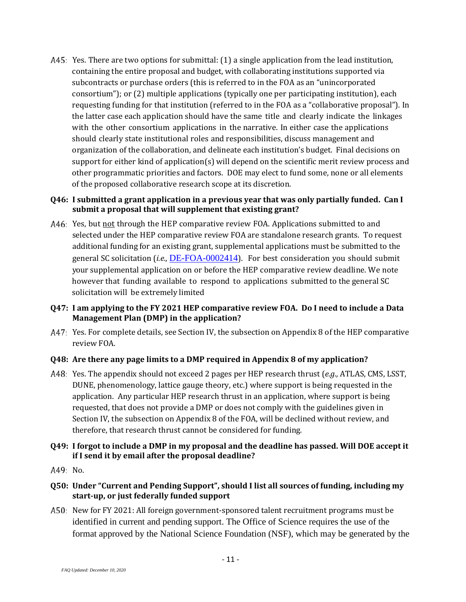A45: Yes. There are two options for submittal: (1) a single application from the lead institution, containing the entire proposal and budget, with collaborating institutions supported via subcontracts or purchase orders (this is referred to in the FOA as an "unincorporated consortium"); or (2) multiple applications (typically one per participating institution), each requesting funding for that institution (referred to in the FOA as a "collaborative proposal"). In the latter case each application should have the same title and clearly indicate the linkages with the other consortium applications in the narrative. In either case the applications should clearly state institutional roles and responsibilities, discuss management and organization of the collaboration, and delineate each institution's budget. Final decisions on support for either kind of application(s) will depend on the scientific merit review process and other programmatic priorities and factors. DOE may elect to fund some, none or all elements of the proposed collaborative research scope at its discretion.

#### **Q46: I submitted a grant application in a previous year that was only partially funded. Can I submit a proposal that will supplement that existing grant?**

A46: Yes, but not through the HEP comparative review FOA. Applications submitted to and selected under the HEP comparative review FOA are standalone research grants. To request additional funding for an existing grant, supplemental applications must be submitted to the general SC solicitation (*i.e.,* [DE-FOA-0002414](https://science.osti.gov/-/media/grants/pdf/foas/2020/SC_FOA_0002181.pdf)). For best consideration you should submit your supplemental application on or before the HEP comparative review deadline. We note however that funding available to respond to applications submitted to the general SC solicitation will be extremely limited

#### **Q47: I am applying to the FY 2021 HEP comparative review FOA. Do I need to include a Data Management Plan (DMP) in the application?**

A47: Yes. For complete details, see Section IV, the subsection on Appendix 8 of the HEP comparative review FOA.

# **Q48: Are there any page limits to a DMP required in Appendix 8 of my application?**

Yes. The appendix should not exceed 2 pages per HEP research thrust (*e.g.,* ATLAS, CMS, LSST, DUNE, phenomenology, lattice gauge theory, etc.) where support is being requested in the application. Any particular HEP research thrust in an application, where support is being requested, that does not provide a DMP or does not comply with the guidelines given in Section IV, the subsection on Appendix 8 of the FOA, will be declined without review, and therefore, that research thrust cannot be considered for funding.

#### **Q49: I forgot to include a DMP in my proposal and the deadline has passed. Will DOE accept it if I send it by email after the proposal deadline?**

A49: No.

# **Q50: Under "Current and Pending Support", should I list all sources of funding, including my start-up, or just federally funded support**

A50: New for FY 2021: All foreign government-sponsored talent recruitment programs must be identified in current and pending support. The Office of Science requires the use of the format approved by the National Science Foundation (NSF), which may be generated by the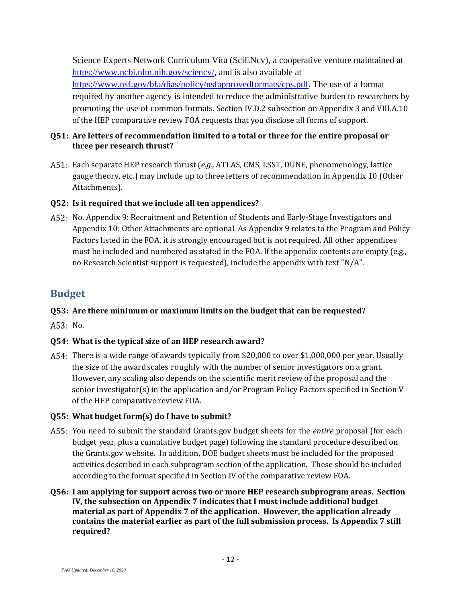Science Experts Network Curriculum Vita (SciENcv), a cooperative venture maintained at [https://www.ncbi.nlm.nih.gov/sciencv/,](https://www.ncbi.nlm.nih.gov/sciencv/) and is also available at [https://www.nsf.gov/bfa/dias/policy/nsfapprovedformats/cps.pdf.](https://www.nsf.gov/bfa/dias/policy/nsfapprovedformats/cps.pdf) The use of a format required by another agency is intended to reduce the administrative burden to researchers by promoting the use of common formats. Section IV.D.2 subsection on Appendix 3 and VIII.A.10 of the HEP comparative review FOA requests that you disclose all forms of support.

# **Q51: Are letters of recommendation limited to a total or three for the entire proposal or three per research thrust?**

Each separate HEP research thrust (*e.g.,* ATLAS, CMS, LSST, DUNE, phenomenology, lattice gauge theory, etc.) may include up to three letters of recommendation in Appendix 10 (Other Attachments).

# **Q52: Is it required that we include all ten appendices?**

A52: No. Appendix 9: Recruitment and Retention of Students and Early-Stage Investigators and Appendix 10: Other Attachments are optional. As Appendix 9 relates to the Program and Policy Factors listed in the FOA, it is strongly encouraged but is not required. All other appendices must be included and numbered as stated in the FOA. If the appendix contents are empty (e.g., no Research Scientist support is requested), include the appendix with text "N/A".

# <span id="page-11-0"></span>**Budget**

# **Q53: Are there minimum or maximum limits on the budget that can be requested?**

A53: No.

# **Q54: What is the typical size of an HEP research award?**

A54: There is a wide range of awards typically from \$20,000 to over \$1,000,000 per year. Usually the size of the award scales roughly with the number of senior investigators on a grant. However, any scaling also depends on the scientific merit review of the proposal and the senior investigator(s) in the application and/or Program Policy Factors specified in Section V of the HEP comparative review FOA.

# **Q55: What budget form(s) do I have to submit?**

- A55: You need to submit the standard Grants.gov budget sheets for the *entire* proposal (for each budget year, plus a cumulative budget page) following the standard procedure described on the Grants.gov website. In addition, DOE budget sheets must be included for the proposed activities described in each subprogram section of the application. These should be included according to the format specified in Section IV of the comparative review FOA.
- **Q56: I am applying for support across two or more HEP research subprogram areas. Section IV, the subsection on Appendix 7 indicates that I must include additional budget material as part of Appendix 7 of the application. However, the application already contains the material earlier as part of the full submission process. Is Appendix 7 still required?**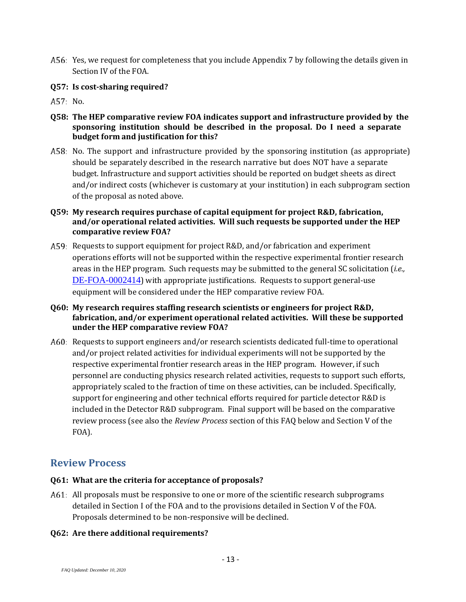- A56: Yes, we request for completeness that you include Appendix 7 by following the details given in Section IV of the FOA.
- **Q57: Is cost-sharing required?**
- A57: No.
- **Q58: The HEP comparative review FOA indicates support and infrastructure provided by the sponsoring institution should be described in the proposal. Do I need a separate budget form and justification for this?**
- No. The support and infrastructure provided by the sponsoring institution (as appropriate) should be separately described in the research narrative but does NOT have a separate budget. Infrastructure and support activities should be reported on budget sheets as direct and/or indirect costs (whichever is customary at your institution) in each subprogram section of the proposal as noted above.
- **Q59: My research requires purchase of capital equipment for project R&D, fabrication, and/or operational related activities. Will such requests be supported under the HEP comparative review FOA?**
- Requests to support equipment for project R&D, and/or fabrication and experiment operations efforts will not be supported within the respective experimental frontier research areas in the HEP program. Such requests may be submitted to the general SC solicitation (*i.e.,* [DE-FOA-0002414](https://science.osti.gov/-/media/grants/pdf/foas/2020/SC_FOA_0002181.pdf)) with appropriate justifications. Requests to support general-use equipment will be considered under the HEP comparative review FOA.
- **Q60: My research requires staffing research scientists or engineers for project R&D, fabrication, and/or experiment operational related activities. Will these be supported under the HEP comparative review FOA?**
- Requests to support engineers and/or research scientists dedicated full-time to operational and/or project related activities for individual experiments will not be supported by the respective experimental frontier research areas in the HEP program. However, if such personnel are conducting physics research related activities, requests to support such efforts, appropriately scaled to the fraction of time on these activities, can be included. Specifically, support for engineering and other technical efforts required for particle detector R&D is included in the Detector R&D subprogram. Final support will be based on the comparative review process (see also the *Review Process* section of this FAQ below and Section V of the FOA).

# <span id="page-12-0"></span>**Review Process**

#### **Q61: What are the criteria for acceptance of proposals?**

- A61: All proposals must be responsive to one or more of the scientific research subprograms detailed in Section I of the FOA and to the provisions detailed in Section V of the FOA. Proposals determined to be non-responsive will be declined.
- **Q62: Are there additional requirements?**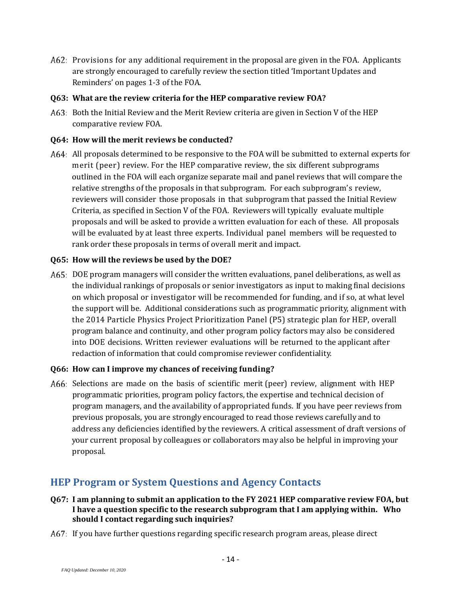Provisions for any additional requirement in the proposal are given in the FOA. Applicants are strongly encouraged to carefully review the section titled 'Important Updates and Reminders' on pages 1-3 of the FOA.

#### **Q63: What are the review criteria for the HEP comparative review FOA?**

Both the Initial Review and the Merit Review criteria are given in Section V of the HEP comparative review FOA.

#### **Q64: How will the merit reviews be conducted?**

A64: All proposals determined to be responsive to the FOA will be submitted to external experts for merit (peer) review. For the HEP comparative review, the six different subprograms outlined in the FOA will each organize separate mail and panel reviews that will compare the relative strengths of the proposals in that subprogram. For each subprogram's review, reviewers will consider those proposals in that subprogram that passed the Initial Review Criteria, as specified in Section V of the FOA. Reviewers will typically evaluate multiple proposals and will be asked to provide a written evaluation for each of these. All proposals will be evaluated by at least three experts. Individual panel members will be requested to rank order these proposals in terms of overall merit and impact.

#### **Q65: How will the reviews be used by the DOE?**

DOE program managers will consider the written evaluations, panel deliberations, as well as the individual rankings of proposals or senior investigators as input to making final decisions on which proposal or investigator will be recommended for funding, and if so, at what level the support will be. Additional considerations such as programmatic priority, alignment with the 2014 Particle Physics Project Prioritization Panel (P5) strategic plan for HEP, overall program balance and continuity, and other program policy factors may also be considered into DOE decisions. Written reviewer evaluations will be returned to the applicant after redaction of information that could compromise reviewer confidentiality.

# **Q66: How can I improve my chances of receiving funding?**

A66: Selections are made on the basis of scientific merit (peer) review, alignment with HEP programmatic priorities, program policy factors, the expertise and technical decision of program managers, and the availability of appropriated funds. If you have peer reviews from previous proposals, you are strongly encouraged to read those reviews carefully and to address any deficiencies identified by the reviewers. A critical assessment of draft versions of your current proposal by colleagues or collaborators may also be helpful in improving your proposal.

# <span id="page-13-0"></span>**HEP Program or System Questions and Agency Contacts**

- **Q67: I am planning to submit an application to the FY 2021 HEP comparative review FOA, but I have a question specific to the research subprogram that I am applying within. Who should I contact regarding such inquiries?**
- A67: If you have further questions regarding specific research program areas, please direct